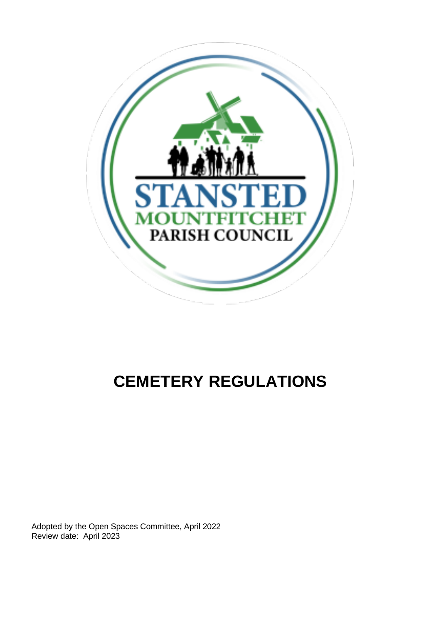

# **CEMETERY REGULATIONS**

Adopted by the Open Spaces Committee, April 2022 Review date: April 2023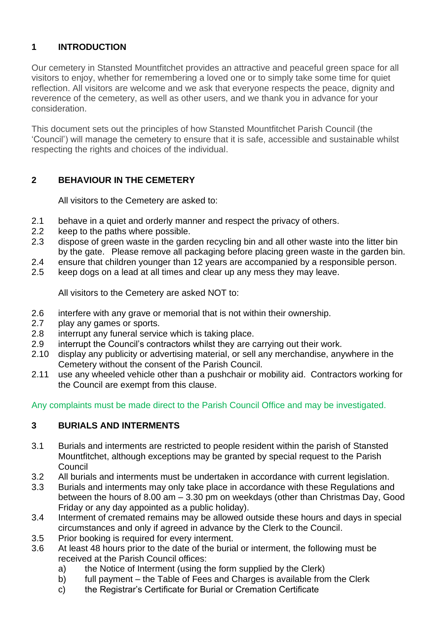# **1 INTRODUCTION**

Our cemetery in Stansted Mountfitchet provides an attractive and peaceful green space for all visitors to enjoy, whether for remembering a loved one or to simply take some time for quiet reflection. All visitors are welcome and we ask that everyone respects the peace, dignity and reverence of the cemetery, as well as other users, and we thank you in advance for your consideration.

This document sets out the principles of how Stansted Mountfitchet Parish Council (the 'Council') will manage the cemetery to ensure that it is safe, accessible and sustainable whilst respecting the rights and choices of the individual.

## **2 BEHAVIOUR IN THE CEMETERY**

All visitors to the Cemetery are asked to:

- 2.1 behave in a quiet and orderly manner and respect the privacy of others.
- 2.2 keep to the paths where possible.
- 2.3 dispose of green waste in the garden recycling bin and all other waste into the litter bin by the gate. Please remove all packaging before placing green waste in the garden bin.
- 2.4 ensure that children younger than 12 years are accompanied by a responsible person.
- 2.5 keep dogs on a lead at all times and clear up any mess they may leave.

All visitors to the Cemetery are asked NOT to:

- 2.6 interfere with any grave or memorial that is not within their ownership.
- 2.7 play any games or sports.
- 2.8 interrupt any funeral service which is taking place.
- 2.9 interrupt the Council's contractors whilst they are carrying out their work.
- 2.10 display any publicity or advertising material, or sell any merchandise, anywhere in the Cemetery without the consent of the Parish Council.
- 2.11 use any wheeled vehicle other than a pushchair or mobility aid. Contractors working for the Council are exempt from this clause.

Any complaints must be made direct to the Parish Council Office and may be investigated.

### **3 BURIALS AND INTERMENTS**

- 3.1 Burials and interments are restricted to people resident within the parish of Stansted Mountfitchet, although exceptions may be granted by special request to the Parish Council
- 3.2 All burials and interments must be undertaken in accordance with current legislation.
- 3.3 Burials and interments may only take place in accordance with these Regulations and between the hours of 8.00 am – 3.30 pm on weekdays (other than Christmas Day, Good Friday or any day appointed as a public holiday).
- 3.4 Interment of cremated remains may be allowed outside these hours and days in special circumstances and only if agreed in advance by the Clerk to the Council.
- 3.5 Prior booking is required for every interment.
- 3.6 At least 48 hours prior to the date of the burial or interment, the following must be received at the Parish Council offices:
	- a) the Notice of Interment (using the form supplied by the Clerk)
	- b) full payment the Table of Fees and Charges is available from the Clerk
	- c) the Registrar's Certificate for Burial or Cremation Certificate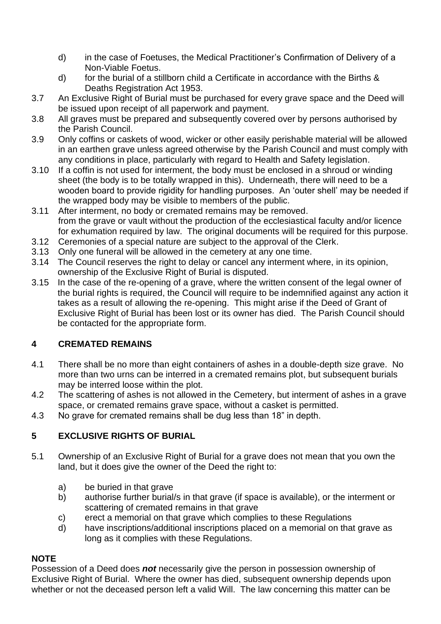- d) in the case of Foetuses, the Medical Practitioner's Confirmation of Delivery of a Non-Viable Foetus.
- d) for the burial of a stillborn child a Certificate in accordance with the Births & Deaths Registration Act 1953.
- 3.7 An Exclusive Right of Burial must be purchased for every grave space and the Deed will be issued upon receipt of all paperwork and payment.
- 3.8 All graves must be prepared and subsequently covered over by persons authorised by the Parish Council.
- 3.9 Only coffins or caskets of wood, wicker or other easily perishable material will be allowed in an earthen grave unless agreed otherwise by the Parish Council and must comply with any conditions in place, particularly with regard to Health and Safety legislation.
- 3.10 If a coffin is not used for interment, the body must be enclosed in a shroud or winding sheet (the body is to be totally wrapped in this). Underneath, there will need to be a wooden board to provide rigidity for handling purposes. An 'outer shell' may be needed if the wrapped body may be visible to members of the public.
- 3.11 After interment, no body or cremated remains may be removed. from the grave or vault without the production of the ecclesiastical faculty and/or licence for exhumation required by law. The original documents will be required for this purpose.
- 3.12 Ceremonies of a special nature are subject to the approval of the Clerk.
- 3.13 Only one funeral will be allowed in the cemetery at any one time.
- 3.14 The Council reserves the right to delay or cancel any interment where, in its opinion, ownership of the Exclusive Right of Burial is disputed.
- 3.15 In the case of the re-opening of a grave, where the written consent of the legal owner of the burial rights is required, the Council will require to be indemnified against any action it takes as a result of allowing the re-opening. This might arise if the Deed of Grant of Exclusive Right of Burial has been lost or its owner has died. The Parish Council should be contacted for the appropriate form.

## **4 CREMATED REMAINS**

- 4.1 There shall be no more than eight containers of ashes in a double-depth size grave. No more than two urns can be interred in a cremated remains plot, but subsequent burials may be interred loose within the plot.
- 4.2 The scattering of ashes is not allowed in the Cemetery, but interment of ashes in a grave space, or cremated remains grave space, without a casket is permitted.
- 4.3 No grave for cremated remains shall be dug less than 18" in depth.

## **5 EXCLUSIVE RIGHTS OF BURIAL**

- 5.1 Ownership of an Exclusive Right of Burial for a grave does not mean that you own the land, but it does give the owner of the Deed the right to:
	- a) be buried in that grave
	- b) authorise further burial/s in that grave (if space is available), or the interment or scattering of cremated remains in that grave
	- c) erect a memorial on that grave which complies to these Regulations
	- d) have inscriptions/additional inscriptions placed on a memorial on that grave as long as it complies with these Regulations.

## **NOTE**

Possession of a Deed does *not* necessarily give the person in possession ownership of Exclusive Right of Burial. Where the owner has died, subsequent ownership depends upon whether or not the deceased person left a valid Will. The law concerning this matter can be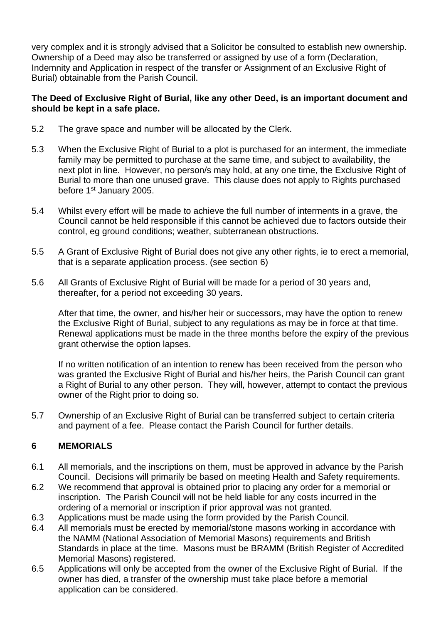very complex and it is strongly advised that a Solicitor be consulted to establish new ownership. Ownership of a Deed may also be transferred or assigned by use of a form (Declaration, Indemnity and Application in respect of the transfer or Assignment of an Exclusive Right of Burial) obtainable from the Parish Council.

#### **The Deed of Exclusive Right of Burial, like any other Deed, is an important document and should be kept in a safe place.**

- 5.2 The grave space and number will be allocated by the Clerk.
- 5.3 When the Exclusive Right of Burial to a plot is purchased for an interment, the immediate family may be permitted to purchase at the same time, and subject to availability, the next plot in line. However, no person/s may hold, at any one time, the Exclusive Right of Burial to more than one unused grave. This clause does not apply to Rights purchased before 1<sup>st</sup> January 2005.
- 5.4 Whilst every effort will be made to achieve the full number of interments in a grave, the Council cannot be held responsible if this cannot be achieved due to factors outside their control, eg ground conditions; weather, subterranean obstructions.
- 5.5 A Grant of Exclusive Right of Burial does not give any other rights, ie to erect a memorial, that is a separate application process. (see section 6)
- 5.6 All Grants of Exclusive Right of Burial will be made for a period of 30 years and, thereafter, for a period not exceeding 30 years.

After that time, the owner, and his/her heir or successors, may have the option to renew the Exclusive Right of Burial, subject to any regulations as may be in force at that time. Renewal applications must be made in the three months before the expiry of the previous grant otherwise the option lapses.

If no written notification of an intention to renew has been received from the person who was granted the Exclusive Right of Burial and his/her heirs, the Parish Council can grant a Right of Burial to any other person. They will, however, attempt to contact the previous owner of the Right prior to doing so.

5.7 Ownership of an Exclusive Right of Burial can be transferred subject to certain criteria and payment of a fee. Please contact the Parish Council for further details.

## **6 MEMORIALS**

- 6.1 All memorials, and the inscriptions on them, must be approved in advance by the Parish Council. Decisions will primarily be based on meeting Health and Safety requirements.
- 6.2 We recommend that approval is obtained prior to placing any order for a memorial or inscription. The Parish Council will not be held liable for any costs incurred in the ordering of a memorial or inscription if prior approval was not granted.
- 6.3 Applications must be made using the form provided by the Parish Council.
- 6.4 All memorials must be erected by memorial/stone masons working in accordance with the NAMM (National Association of Memorial Masons) requirements and British Standards in place at the time. Masons must be BRAMM (British Register of Accredited Memorial Masons) registered.
- 6.5 Applications will only be accepted from the owner of the Exclusive Right of Burial. If the owner has died, a transfer of the ownership must take place before a memorial application can be considered.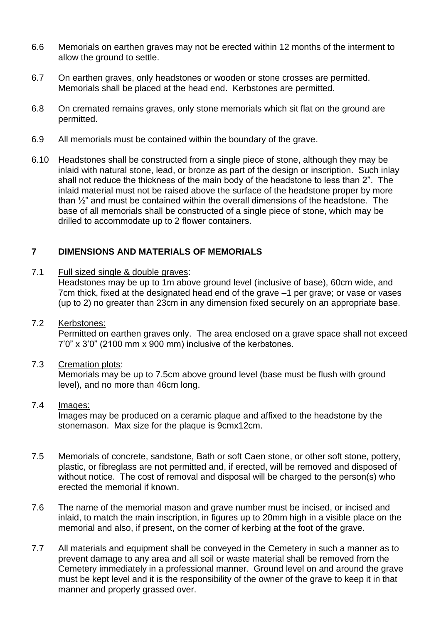- 6.6 Memorials on earthen graves may not be erected within 12 months of the interment to allow the ground to settle.
- 6.7 On earthen graves, only headstones or wooden or stone crosses are permitted. Memorials shall be placed at the head end. Kerbstones are permitted.
- 6.8 On cremated remains graves, only stone memorials which sit flat on the ground are permitted.
- 6.9 All memorials must be contained within the boundary of the grave.
- 6.10 Headstones shall be constructed from a single piece of stone, although they may be inlaid with natural stone, lead, or bronze as part of the design or inscription. Such inlay shall not reduce the thickness of the main body of the headstone to less than 2". The inlaid material must not be raised above the surface of the headstone proper by more than ½" and must be contained within the overall dimensions of the headstone. The base of all memorials shall be constructed of a single piece of stone, which may be drilled to accommodate up to 2 flower containers.

### **7 DIMENSIONS AND MATERIALS OF MEMORIALS**

7.1 Full sized single & double graves:

Headstones may be up to 1m above ground level (inclusive of base), 60cm wide, and 7cm thick, fixed at the designated head end of the grave –1 per grave; or vase or vases (up to 2) no greater than 23cm in any dimension fixed securely on an appropriate base.

7.2 Kerbstones:

Permitted on earthen graves only. The area enclosed on a grave space shall not exceed 7'0" x 3'0" (2100 mm x 900 mm) inclusive of the kerbstones.

7.3 Cremation plots:

Memorials may be up to 7.5cm above ground level (base must be flush with ground level), and no more than 46cm long.

#### 7.4 Images:

Images may be produced on a ceramic plaque and affixed to the headstone by the stonemason. Max size for the plaque is 9cmx12cm.

- 7.5 Memorials of concrete, sandstone, Bath or soft Caen stone, or other soft stone, pottery, plastic, or fibreglass are not permitted and, if erected, will be removed and disposed of without notice. The cost of removal and disposal will be charged to the person(s) who erected the memorial if known.
- 7.6 The name of the memorial mason and grave number must be incised, or incised and inlaid, to match the main inscription, in figures up to 20mm high in a visible place on the memorial and also, if present, on the corner of kerbing at the foot of the grave.
- 7.7 All materials and equipment shall be conveyed in the Cemetery in such a manner as to prevent damage to any area and all soil or waste material shall be removed from the Cemetery immediately in a professional manner. Ground level on and around the grave must be kept level and it is the responsibility of the owner of the grave to keep it in that manner and properly grassed over.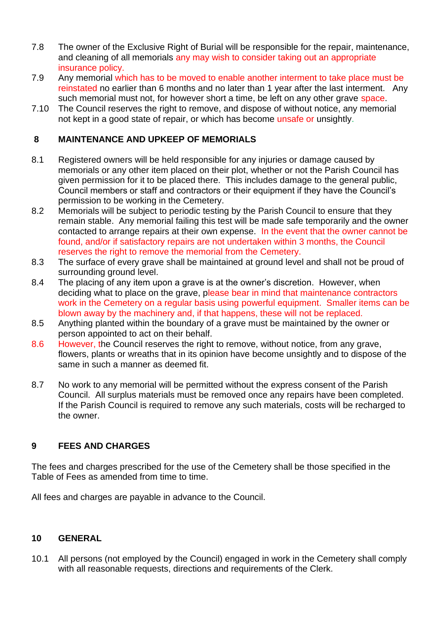- 7.8 The owner of the Exclusive Right of Burial will be responsible for the repair, maintenance, and cleaning of all memorials any may wish to consider taking out an appropriate insurance policy.
- 7.9 Any memorial which has to be moved to enable another interment to take place must be reinstated no earlier than 6 months and no later than 1 year after the last interment. Any such memorial must not, for however short a time, be left on any other grave space.
- 7.10 The Council reserves the right to remove, and dispose of without notice, any memorial not kept in a good state of repair, or which has become unsafe or unsightly.

## **8 MAINTENANCE AND UPKEEP OF MEMORIALS**

- 8.1 Registered owners will be held responsible for any injuries or damage caused by memorials or any other item placed on their plot, whether or not the Parish Council has given permission for it to be placed there. This includes damage to the general public, Council members or staff and contractors or their equipment if they have the Council's permission to be working in the Cemetery.
- 8.2 Memorials will be subject to periodic testing by the Parish Council to ensure that they remain stable. Any memorial failing this test will be made safe temporarily and the owner contacted to arrange repairs at their own expense. In the event that the owner cannot be found, and/or if satisfactory repairs are not undertaken within 3 months, the Council reserves the right to remove the memorial from the Cemetery.
- 8.3 The surface of every grave shall be maintained at ground level and shall not be proud of surrounding ground level.
- 8.4 The placing of any item upon a grave is at the owner's discretion. However, when deciding what to place on the grave, please bear in mind that maintenance contractors work in the Cemetery on a regular basis using powerful equipment. Smaller items can be blown away by the machinery and, if that happens, these will not be replaced.
- 8.5 Anything planted within the boundary of a grave must be maintained by the owner or person appointed to act on their behalf.
- 8.6 However, the Council reserves the right to remove, without notice, from any grave, flowers, plants or wreaths that in its opinion have become unsightly and to dispose of the same in such a manner as deemed fit.
- 8.7 No work to any memorial will be permitted without the express consent of the Parish Council. All surplus materials must be removed once any repairs have been completed. If the Parish Council is required to remove any such materials, costs will be recharged to the owner.

### **9 FEES AND CHARGES**

The fees and charges prescribed for the use of the Cemetery shall be those specified in the Table of Fees as amended from time to time.

All fees and charges are payable in advance to the Council.

### **10 GENERAL**

10.1 All persons (not employed by the Council) engaged in work in the Cemetery shall comply with all reasonable requests, directions and requirements of the Clerk.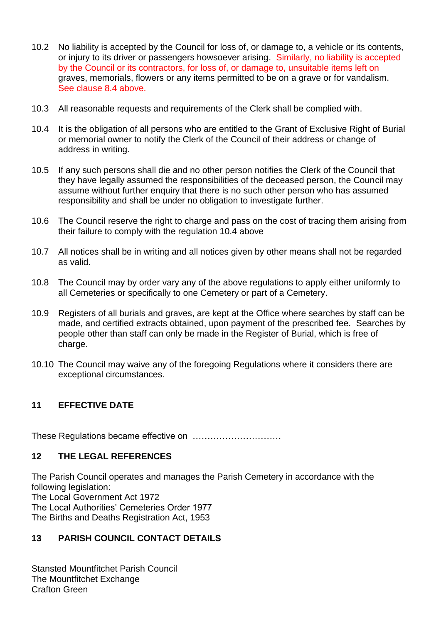- 10.2 No liability is accepted by the Council for loss of, or damage to, a vehicle or its contents, or injury to its driver or passengers howsoever arising. Similarly, no liability is accepted by the Council or its contractors, for loss of, or damage to, unsuitable items left on graves, memorials, flowers or any items permitted to be on a grave or for vandalism. See clause 8.4 above.
- 10.3 All reasonable requests and requirements of the Clerk shall be complied with.
- 10.4 It is the obligation of all persons who are entitled to the Grant of Exclusive Right of Burial or memorial owner to notify the Clerk of the Council of their address or change of address in writing.
- 10.5 If any such persons shall die and no other person notifies the Clerk of the Council that they have legally assumed the responsibilities of the deceased person, the Council may assume without further enquiry that there is no such other person who has assumed responsibility and shall be under no obligation to investigate further.
- 10.6 The Council reserve the right to charge and pass on the cost of tracing them arising from their failure to comply with the regulation 10.4 above
- 10.7 All notices shall be in writing and all notices given by other means shall not be regarded as valid.
- 10.8 The Council may by order vary any of the above regulations to apply either uniformly to all Cemeteries or specifically to one Cemetery or part of a Cemetery.
- 10.9 Registers of all burials and graves, are kept at the Office where searches by staff can be made, and certified extracts obtained, upon payment of the prescribed fee. Searches by people other than staff can only be made in the Register of Burial, which is free of charge.
- 10.10 The Council may waive any of the foregoing Regulations where it considers there are exceptional circumstances.

## **11 EFFECTIVE DATE**

These Regulations became effective on …………………………

### **12 THE LEGAL REFERENCES**

The Parish Council operates and manages the Parish Cemetery in accordance with the following legislation: The Local Government Act 1972 The Local Authorities' Cemeteries Order 1977 The Births and Deaths Registration Act, 1953

## **13 PARISH COUNCIL CONTACT DETAILS**

Stansted Mountfitchet Parish Council The Mountfitchet Exchange Crafton Green